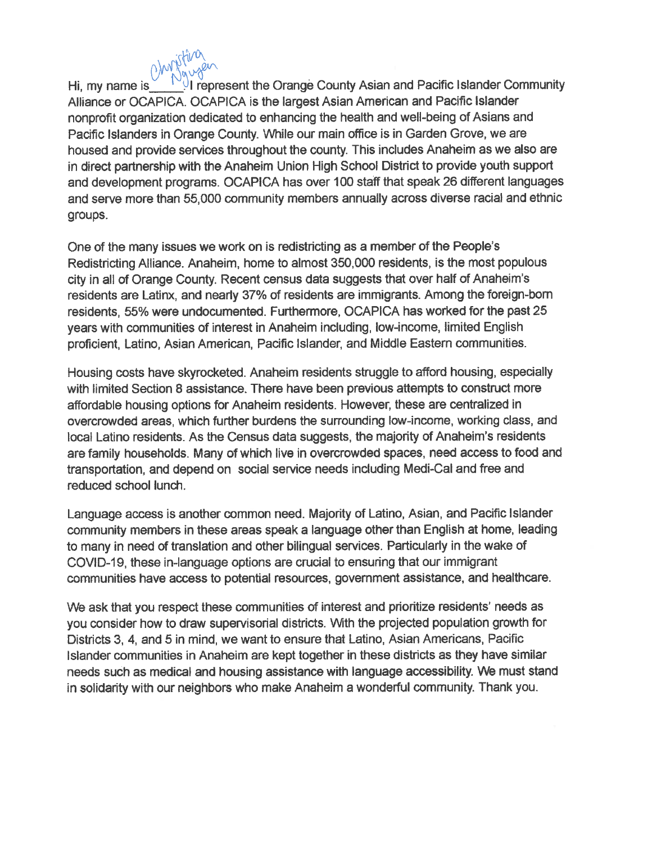

I represent the Orange County Asian and Pacific Islander Community Hi, my name is Alliance or OCAPICA. OCAPICA is the largest Asian American and Pacific Islander nonprofit organization dedicated to enhancing the health and well-being of Asians and Pacific Islanders in Orange County. While our main office is in Garden Grove, we are housed and provide services throughout the county. This includes Anaheim as we also are in direct partnership with the Anaheim Union High School District to provide youth support and development programs. OCAPICA has over 100 staff that speak 26 different languages and serve more than 55,000 community members annually across diverse racial and ethnic groups.

One of the many issues we work on is redistricting as a member of the People's Redistricting Alliance. Anaheim, home to almost 350,000 residents, is the most populous city in all of Orange County. Recent census data suggests that over half of Anaheim's residents are Latinx, and nearly 37% of residents are immigrants. Among the foreign-born residents, 55% were undocumented. Furthermore, OCAPICA has worked for the past 25 years with communities of interest in Anaheim including, low-income, limited English proficient, Latino, Asian American, Pacific Islander, and Middle Eastern communities.

Housing costs have skyrocketed. Anaheim residents struggle to afford housing, especially with limited Section 8 assistance. There have been previous attempts to construct more affordable housing options for Anaheim residents. However, these are centralized in overcrowded areas, which further burdens the surrounding low-income, working class, and local Latino residents. As the Census data suggests, the majority of Anaheim's residents are family households. Many of which live in overcrowded spaces, need access to food and transportation, and depend on social service needs including Medi-Cal and free and reduced school lunch.

Language access is another common need. Majority of Latino, Asian, and Pacific Islander community members in these areas speak a language other than English at home, leading to many in need of translation and other bilingual services. Particularly in the wake of COVID-19, these in-language options are crucial to ensuring that our immigrant communities have access to potential resources, government assistance, and healthcare.

We ask that you respect these communities of interest and prioritize residents' needs as you consider how to draw supervisorial districts. With the projected population growth for Districts 3, 4, and 5 in mind, we want to ensure that Latino, Asian Americans, Pacific Islander communities in Anaheim are kept together in these districts as they have similar needs such as medical and housing assistance with language accessibility. We must stand in solidarity with our neighbors who make Anaheim a wonderful community. Thank you.